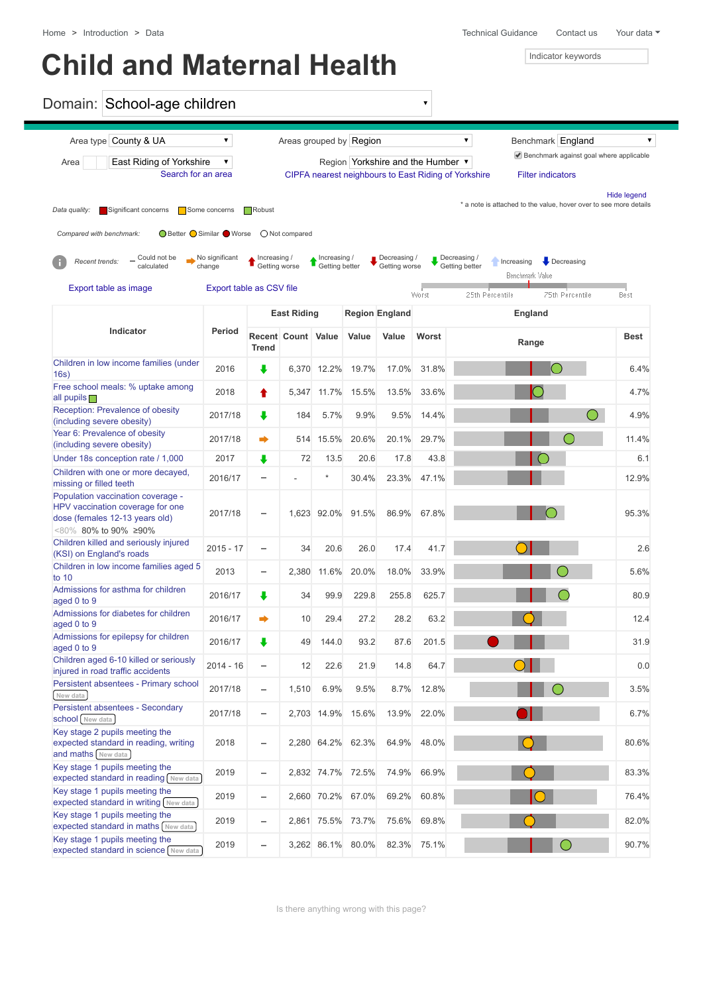## Child and Maternal Health Indicator keywords

## Domain: School-age children

| Area type County & UA                                                                                                                                                                                                                                                                             | $\blacktriangledown$                                                    |                    |                           |             | Areas grouped by Region |              |                                         | Benchmark England<br>$\blacktriangledown$                                        | $\blacktriangledown$ |  |  |
|---------------------------------------------------------------------------------------------------------------------------------------------------------------------------------------------------------------------------------------------------------------------------------------------------|-------------------------------------------------------------------------|--------------------|---------------------------|-------------|-------------------------|--------------|-----------------------------------------|----------------------------------------------------------------------------------|----------------------|--|--|
| East Riding of Yorkshire<br>Area                                                                                                                                                                                                                                                                  | Region Yorkshire and the Humber ▼                                       |                    |                           |             |                         |              | Benchmark against goal where applicable |                                                                                  |                      |  |  |
| Search for an area                                                                                                                                                                                                                                                                                |                                                                         |                    |                           |             |                         |              |                                         | CIPFA nearest neighbours to East Riding of Yorkshire<br><b>Filter indicators</b> |                      |  |  |
| Data quality:<br>Significant concerns                                                                                                                                                                                                                                                             | Some concerns                                                           | Robust             |                           |             |                         |              |                                         | * a note is attached to the value, hover over to see more details                | <b>Hide legend</b>   |  |  |
| Compared with benchmark:                                                                                                                                                                                                                                                                          |                                                                         |                    |                           |             |                         |              |                                         |                                                                                  |                      |  |  |
| <b>O</b> Better ● Similar ● Worse<br>◯ Not compared                                                                                                                                                                                                                                               |                                                                         |                    |                           |             |                         |              |                                         |                                                                                  |                      |  |  |
| $\blacksquare$ No significant<br>_ Could not be<br>Increasing /<br>Increasing /<br>Decreasing /<br>Decreasing /<br>$\bigtriangledown$ Decreasing<br>Recent trends:<br>Increasing<br>calculated<br>Getting better<br>Getting worse<br>Getting better<br>Getting worse<br>change<br>Benchmark Value |                                                                         |                    |                           |             |                         |              |                                         |                                                                                  |                      |  |  |
| Export table as image                                                                                                                                                                                                                                                                             | Export table as CSV file<br>25th Percentile<br>75th Percentile<br>Worst |                    |                           |             |                         |              |                                         | Best                                                                             |                      |  |  |
| Indicator                                                                                                                                                                                                                                                                                         | <b>Period</b>                                                           | <b>East Riding</b> |                           |             | <b>Region England</b>   |              | <b>England</b>                          |                                                                                  |                      |  |  |
|                                                                                                                                                                                                                                                                                                   |                                                                         | <b>Trend</b>       | <b>Recent Count Value</b> |             | <b>Value</b>            | <b>Value</b> | <b>Worst</b>                            | Range                                                                            | <b>Best</b>          |  |  |
| Children in low income families (under<br>16s)                                                                                                                                                                                                                                                    | 2016                                                                    | ÷                  | 6,370                     | 12.2%       | 19.7%                   | 17.0%        | 31.8%                                   |                                                                                  | 6.4%                 |  |  |
| Free school meals: % uptake among<br>all pupils <b>n</b>                                                                                                                                                                                                                                          | 2018                                                                    | ♠                  | 5,347                     | 11.7%       | 15.5%                   | 13.5%        | 33.6%                                   |                                                                                  | 4.7%                 |  |  |
| Reception: Prevalence of obesity<br>(including severe obesity)                                                                                                                                                                                                                                    | 2017/18                                                                 | ı                  | 184                       | 5.7%        | 9.9%                    | 9.5%         | 14.4%                                   | $\bigcirc$                                                                       | 4.9%                 |  |  |
| Year 6: Prevalence of obesity<br>(including severe obesity)                                                                                                                                                                                                                                       | 2017/18                                                                 | ∙                  | 514                       | 15.5%       | 20.6%                   | 20.1%        | 29.7%                                   |                                                                                  | 11.4%                |  |  |
| Under 18s conception rate / 1,000                                                                                                                                                                                                                                                                 | 2017                                                                    | ı                  | 72                        | 13.5        | 20.6                    | 17.8         | 43.8                                    |                                                                                  | 6.1                  |  |  |
| Children with one or more decayed,<br>missing or filled teeth                                                                                                                                                                                                                                     | 2016/17                                                                 | -                  |                           | $^\star$    | 30.4%                   | 23.3%        | 47.1%                                   |                                                                                  | 12.9%                |  |  |
| Population vaccination coverage -<br>HPV vaccination coverage for one<br>dose (females 12-13 years old)<br><80% 80% to 90% ≥90%                                                                                                                                                                   | 2017/18                                                                 | -                  |                           | 1,623 92.0% | 91.5%                   | 86.9%        | 67.8%                                   |                                                                                  | 95.3%                |  |  |
| Children killed and seriously injured<br>(KSI) on England's roads                                                                                                                                                                                                                                 | $2015 - 17$                                                             | -                  | 34                        | 20.6        | 26.0                    | 17.4         | 41.7                                    |                                                                                  | 2.6                  |  |  |
| Children in low income families aged 5<br>to 10                                                                                                                                                                                                                                                   | 2013                                                                    | -                  | 2,380                     | 11.6%       | 20.0%                   | 18.0%        | 33.9%                                   |                                                                                  | 5.6%                 |  |  |
| Admissions for asthma for children<br>aged 0 to 9                                                                                                                                                                                                                                                 | 2016/17                                                                 | ÷                  | 34                        | 99.9        | 229.8                   | 255.8        | 625.7                                   |                                                                                  | 80.9                 |  |  |
| Admissions for diabetes for children<br>aged 0 to 9                                                                                                                                                                                                                                               | 2016/17                                                                 | ∙                  | 10                        | 29.4        | 27.2                    | 28.2         | 63.2                                    |                                                                                  | 12.4                 |  |  |
| Admissions for epilepsy for children<br>aged 0 to 9                                                                                                                                                                                                                                               | 2016/17                                                                 | ₩                  | 49                        | 144.0       | 93.2                    | 87.6         | 201.5                                   |                                                                                  | 31.9                 |  |  |
| Children aged 6-10 killed or seriously<br>injured in road traffic accidents                                                                                                                                                                                                                       | $2014 - 16$                                                             | -                  | 12                        | 22.6        | 21.9                    | 14.8         | 64.7                                    |                                                                                  | 0.0                  |  |  |
| Persistent absentees - Primary school<br>New data                                                                                                                                                                                                                                                 | 2017/18                                                                 | -                  | 1,510                     | 6.9%        | 9.5%                    | 8.7%         | 12.8%                                   |                                                                                  | 3.5%                 |  |  |
| Persistent absentees - Secondary<br><b>school</b> New data                                                                                                                                                                                                                                        | 2017/18                                                                 | $\qquad \qquad =$  |                           | 2,703 14.9% | 15.6%                   | 13.9%        | 22.0%                                   |                                                                                  | 6.7%                 |  |  |
| Key stage 2 pupils meeting the<br>expected standard in reading, writing<br>and maths New data                                                                                                                                                                                                     | 2018                                                                    | -                  |                           | 2,280 64.2% | 62.3%                   | 64.9%        | 48.0%                                   |                                                                                  | 80.6%                |  |  |
| Key stage 1 pupils meeting the<br>expected standard in reading [New data]                                                                                                                                                                                                                         | 2019                                                                    | -                  |                           | 2,832 74.7% | 72.5%                   | 74.9%        | 66.9%                                   |                                                                                  | 83.3%                |  |  |
| Key stage 1 pupils meeting the<br>expected standard in writing [New data]                                                                                                                                                                                                                         | 2019                                                                    | -                  |                           | 2,660 70.2% | 67.0%                   | 69.2%        | 60.8%                                   |                                                                                  | 76.4%                |  |  |
| Key stage 1 pupils meeting the<br>expected standard in maths [New data]                                                                                                                                                                                                                           | 2019                                                                    | -                  | 2,861                     | 75.5%       | 73.7%                   | 75.6%        | 69.8%                                   |                                                                                  | 82.0%                |  |  |
| Key stage 1 pupils meeting the<br>expected standard in science New data                                                                                                                                                                                                                           | 2019                                                                    | -                  |                           | 3,262 86.1% | 80.0%                   | 82.3%        | 75.1%                                   |                                                                                  | 90.7%                |  |  |

 $\bar{\blacktriangledown}$ 

Is there anything wrong with this page?